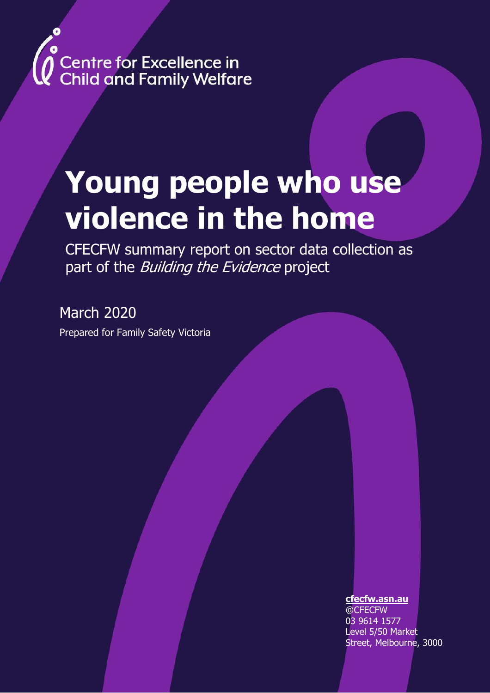# **Centre for Excellence in<br>Child and Family Welfare**

# **Young people who use violence in the home**

CFECFW summary report on sector data collection as part of the Building the Evidence project

March 2020 Prepared for Family Safety Victoria

#### **[cfecfw.asn.au](about:blank)**

@CFECFW 03 9614 1577 Level 5/50 Market Street, Melbourne, 3000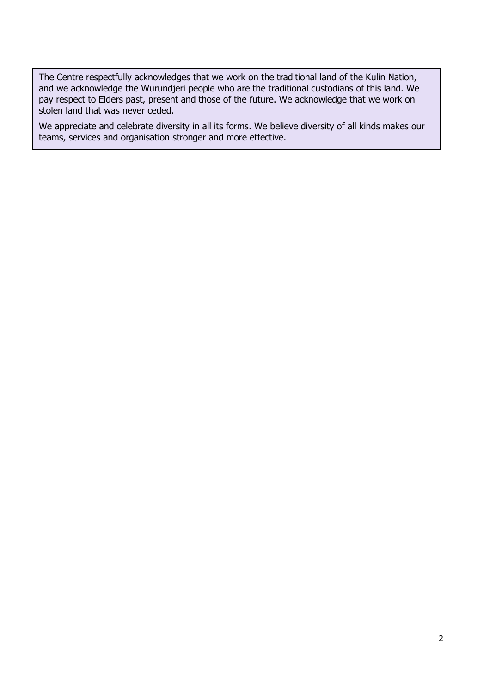The Centre respectfully acknowledges that we work on the traditional land of the Kulin Nation, and we acknowledge the Wurundjeri people who are the traditional custodians of this land. We pay respect to Elders past, present and those of the future. We acknowledge that we work on stolen land that was never ceded.

We appreciate and celebrate diversity in all its forms. We believe diversity of all kinds makes our teams, services and organisation stronger and more effective.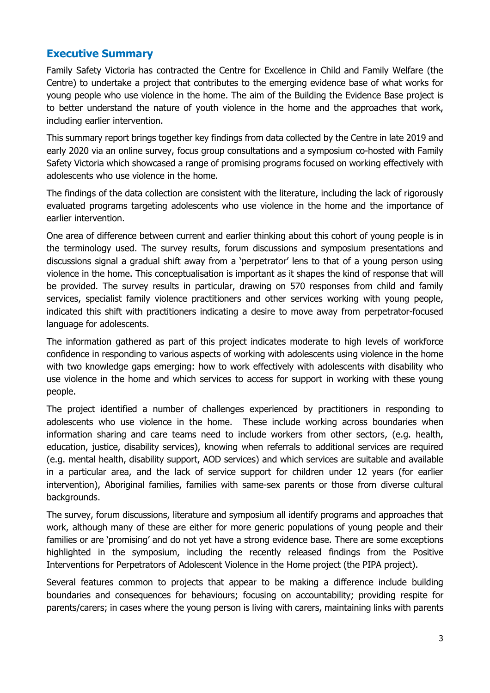# **Executive Summary**

Family Safety Victoria has contracted the Centre for Excellence in Child and Family Welfare (the Centre) to undertake a project that contributes to the emerging evidence base of what works for young people who use violence in the home. The aim of the Building the Evidence Base project is to better understand the nature of youth violence in the home and the approaches that work, including earlier intervention.

This summary report brings together key findings from data collected by the Centre in late 2019 and early 2020 via an online survey, focus group consultations and a symposium co-hosted with Family Safety Victoria which showcased a range of promising programs focused on working effectively with adolescents who use violence in the home.

The findings of the data collection are consistent with the literature, including the lack of rigorously evaluated programs targeting adolescents who use violence in the home and the importance of earlier intervention.

One area of difference between current and earlier thinking about this cohort of young people is in the terminology used. The survey results, forum discussions and symposium presentations and discussions signal a gradual shift away from a 'perpetrator' lens to that of a young person using violence in the home. This conceptualisation is important as it shapes the kind of response that will be provided. The survey results in particular, drawing on 570 responses from child and family services, specialist family violence practitioners and other services working with young people, indicated this shift with practitioners indicating a desire to move away from perpetrator-focused language for adolescents.

The information gathered as part of this project indicates moderate to high levels of workforce confidence in responding to various aspects of working with adolescents using violence in the home with two knowledge gaps emerging: how to work effectively with adolescents with disability who use violence in the home and which services to access for support in working with these young people.

The project identified a number of challenges experienced by practitioners in responding to adolescents who use violence in the home. These include working across boundaries when information sharing and care teams need to include workers from other sectors, (e.g. health, education, justice, disability services), knowing when referrals to additional services are required (e.g. mental health, disability support, AOD services) and which services are suitable and available in a particular area, and the lack of service support for children under 12 years (for earlier intervention), Aboriginal families, families with same-sex parents or those from diverse cultural backgrounds.

The survey, forum discussions, literature and symposium all identify programs and approaches that work, although many of these are either for more generic populations of young people and their families or are 'promising' and do not yet have a strong evidence base. There are some exceptions highlighted in the symposium, including the recently released findings from the Positive Interventions for Perpetrators of Adolescent Violence in the Home project (the PIPA project).

Several features common to projects that appear to be making a difference include building boundaries and consequences for behaviours; focusing on accountability; providing respite for parents/carers; in cases where the young person is living with carers, maintaining links with parents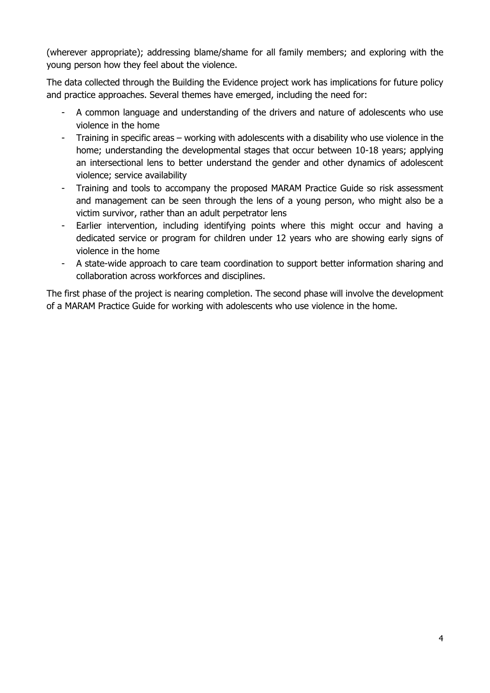(wherever appropriate); addressing blame/shame for all family members; and exploring with the young person how they feel about the violence.

The data collected through the Building the Evidence project work has implications for future policy and practice approaches. Several themes have emerged, including the need for:

- A common language and understanding of the drivers and nature of adolescents who use violence in the home
- Training in specific areas working with adolescents with a disability who use violence in the home; understanding the developmental stages that occur between 10-18 years; applying an intersectional lens to better understand the gender and other dynamics of adolescent violence; service availability
- Training and tools to accompany the proposed MARAM Practice Guide so risk assessment and management can be seen through the lens of a young person, who might also be a victim survivor, rather than an adult perpetrator lens
- Earlier intervention, including identifying points where this might occur and having a dedicated service or program for children under 12 years who are showing early signs of violence in the home
- A state-wide approach to care team coordination to support better information sharing and collaboration across workforces and disciplines.

The first phase of the project is nearing completion. The second phase will involve the development of a MARAM Practice Guide for working with adolescents who use violence in the home.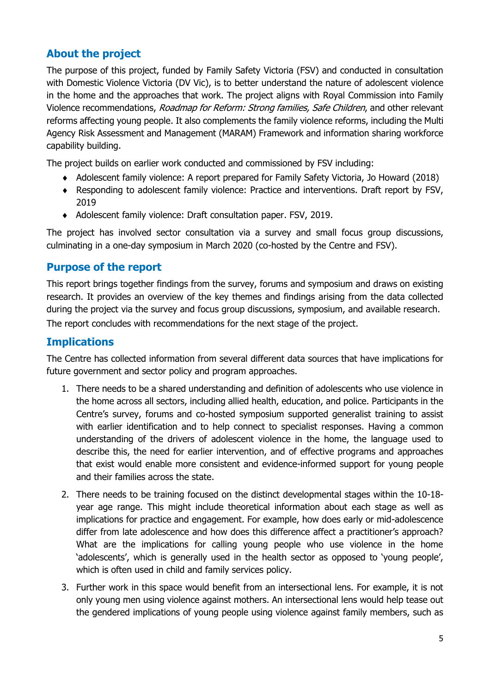# **About the project**

The purpose of this project, funded by Family Safety Victoria (FSV) and conducted in consultation with Domestic Violence Victoria (DV Vic), is to better understand the nature of adolescent violence in the home and the approaches that work. The project aligns with Royal Commission into Family Violence recommendations, Roadmap for Reform: Strong families, Safe Children, and other relevant reforms affecting young people. It also complements the family violence reforms, including the Multi Agency Risk Assessment and Management (MARAM) Framework and information sharing workforce capability building.

The project builds on earlier work conducted and commissioned by FSV including:

- Adolescent family violence: A report prepared for Family Safety Victoria, Jo Howard (2018)
- Responding to adolescent family violence: Practice and interventions. Draft report by FSV, 2019
- Adolescent family violence: Draft consultation paper. FSV, 2019.

The project has involved sector consultation via a survey and small focus group discussions, culminating in a one-day symposium in March 2020 (co-hosted by the Centre and FSV).

# **Purpose of the report**

This report brings together findings from the survey, forums and symposium and draws on existing research. It provides an overview of the key themes and findings arising from the data collected during the project via the survey and focus group discussions, symposium, and available research. The report concludes with recommendations for the next stage of the project.

# **Implications**

The Centre has collected information from several different data sources that have implications for future government and sector policy and program approaches.

- 1. There needs to be a shared understanding and definition of adolescents who use violence in the home across all sectors, including allied health, education, and police. Participants in the Centre's survey, forums and co-hosted symposium supported generalist training to assist with earlier identification and to help connect to specialist responses. Having a common understanding of the drivers of adolescent violence in the home, the language used to describe this, the need for earlier intervention, and of effective programs and approaches that exist would enable more consistent and evidence-informed support for young people and their families across the state.
- 2. There needs to be training focused on the distinct developmental stages within the 10-18 year age range. This might include theoretical information about each stage as well as implications for practice and engagement. For example, how does early or mid-adolescence differ from late adolescence and how does this difference affect a practitioner's approach? What are the implications for calling young people who use violence in the home 'adolescents', which is generally used in the health sector as opposed to 'young people', which is often used in child and family services policy.
- 3. Further work in this space would benefit from an intersectional lens. For example, it is not only young men using violence against mothers. An intersectional lens would help tease out the gendered implications of young people using violence against family members, such as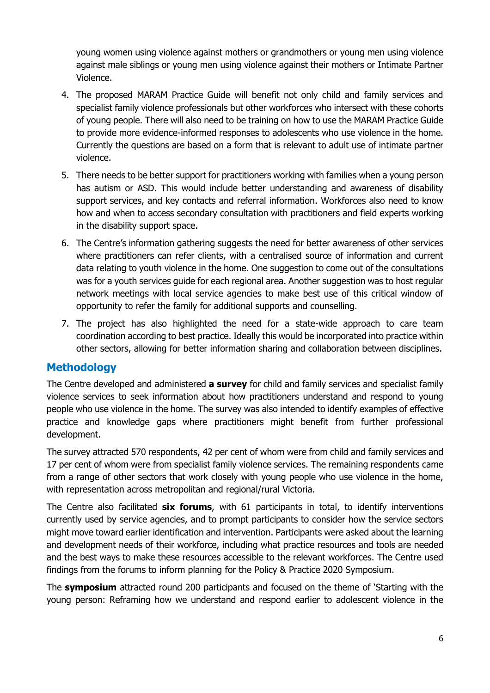young women using violence against mothers or grandmothers or young men using violence against male siblings or young men using violence against their mothers or Intimate Partner Violence.

- 4. The proposed MARAM Practice Guide will benefit not only child and family services and specialist family violence professionals but other workforces who intersect with these cohorts of young people. There will also need to be training on how to use the MARAM Practice Guide to provide more evidence-informed responses to adolescents who use violence in the home. Currently the questions are based on a form that is relevant to adult use of intimate partner violence.
- 5. There needs to be better support for practitioners working with families when a young person has autism or ASD. This would include better understanding and awareness of disability support services, and key contacts and referral information. Workforces also need to know how and when to access secondary consultation with practitioners and field experts working in the disability support space.
- 6. The Centre's information gathering suggests the need for better awareness of other services where practitioners can refer clients, with a centralised source of information and current data relating to youth violence in the home. One suggestion to come out of the consultations was for a youth services guide for each regional area. Another suggestion was to host regular network meetings with local service agencies to make best use of this critical window of opportunity to refer the family for additional supports and counselling.
- 7. The project has also highlighted the need for a state-wide approach to care team coordination according to best practice. Ideally this would be incorporated into practice within other sectors, allowing for better information sharing and collaboration between disciplines.

# **Methodology**

The Centre developed and administered **a survey** for child and family services and specialist family violence services to seek information about how practitioners understand and respond to young people who use violence in the home. The survey was also intended to identify examples of effective practice and knowledge gaps where practitioners might benefit from further professional development.

The survey attracted 570 respondents, 42 per cent of whom were from child and family services and 17 per cent of whom were from specialist family violence services. The remaining respondents came from a range of other sectors that work closely with young people who use violence in the home, with representation across metropolitan and regional/rural Victoria.

The Centre also facilitated **six forums**, with 61 participants in total, to identify interventions currently used by service agencies, and to prompt participants to consider how the service sectors might move toward earlier identification and intervention. Participants were asked about the learning and development needs of their workforce, including what practice resources and tools are needed and the best ways to make these resources accessible to the relevant workforces. The Centre used findings from the forums to inform planning for the Policy & Practice 2020 Symposium.

The **symposium** attracted round 200 participants and focused on the theme of 'Starting with the young person: Reframing how we understand and respond earlier to adolescent violence in the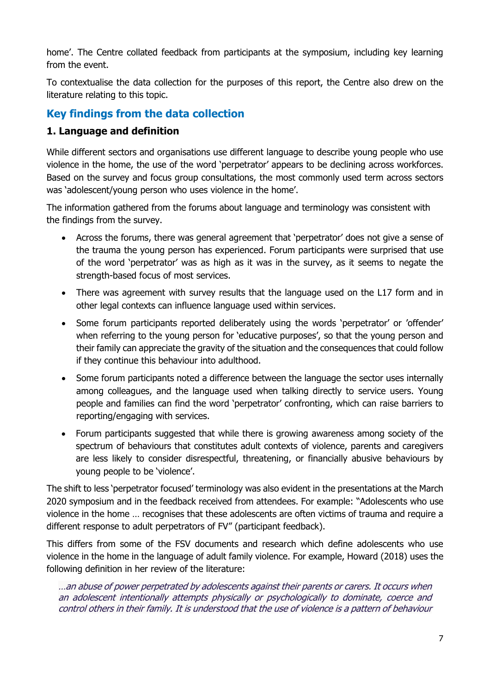home'. The Centre collated feedback from participants at the symposium, including key learning from the event.

To contextualise the data collection for the purposes of this report, the Centre also drew on the literature relating to this topic.

# **Key findings from the data collection**

### **1. Language and definition**

While different sectors and organisations use different language to describe young people who use violence in the home, the use of the word 'perpetrator' appears to be declining across workforces. Based on the survey and focus group consultations, the most commonly used term across sectors was 'adolescent/young person who uses violence in the home'.

The information gathered from the forums about language and terminology was consistent with the findings from the survey.

- Across the forums, there was general agreement that 'perpetrator' does not give a sense of the trauma the young person has experienced. Forum participants were surprised that use of the word 'perpetrator' was as high as it was in the survey, as it seems to negate the strength-based focus of most services.
- There was agreement with survey results that the language used on the L17 form and in other legal contexts can influence language used within services.
- Some forum participants reported deliberately using the words 'perpetrator' or 'offender' when referring to the young person for 'educative purposes', so that the young person and their family can appreciate the gravity of the situation and the consequences that could follow if they continue this behaviour into adulthood.
- Some forum participants noted a difference between the language the sector uses internally among colleagues, and the language used when talking directly to service users. Young people and families can find the word 'perpetrator' confronting, which can raise barriers to reporting/engaging with services.
- Forum participants suggested that while there is growing awareness among society of the spectrum of behaviours that constitutes adult contexts of violence, parents and caregivers are less likely to consider disrespectful, threatening, or financially abusive behaviours by young people to be 'violence'.

The shift to less 'perpetrator focused' terminology was also evident in the presentations at the March 2020 symposium and in the feedback received from attendees. For example: "Adolescents who use violence in the home … recognises that these adolescents are often victims of trauma and require a different response to adult perpetrators of FV" (participant feedback).

This differs from some of the FSV documents and research which define adolescents who use violence in the home in the language of adult family violence. For example, Howard (2018) uses the following definition in her review of the literature:

…an abuse of power perpetrated by adolescents against their parents or carers. It occurs when an adolescent intentionally attempts physically or psychologically to dominate, coerce and control others in their family. It is understood that the use of violence is a pattern of behaviour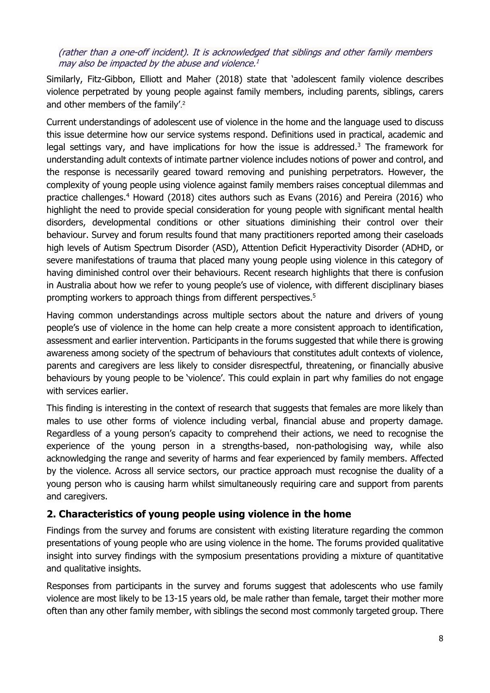#### (rather than a one-off incident). It is acknowledged that siblings and other family members may also be impacted by the abuse and violence. 1

Similarly, Fitz-Gibbon, Elliott and Maher (2018) state that 'adolescent family violence describes violence perpetrated by young people against family members, including parents, siblings, carers and other members of the family'. 2

Current understandings of adolescent use of violence in the home and the language used to discuss this issue determine how our service systems respond. Definitions used in practical, academic and legal settings vary, and have implications for how the issue is addressed.<sup>3</sup> The framework for understanding adult contexts of intimate partner violence includes notions of power and control, and the response is necessarily geared toward removing and punishing perpetrators. However, the complexity of young people using violence against family members raises conceptual dilemmas and practice challenges. <sup>4</sup> Howard (2018) cites authors such as Evans (2016) and Pereira (2016) who highlight the need to provide special consideration for young people with significant mental health disorders, developmental conditions or other situations diminishing their control over their behaviour. Survey and forum results found that many practitioners reported among their caseloads high levels of Autism Spectrum Disorder (ASD), Attention Deficit Hyperactivity Disorder (ADHD, or severe manifestations of trauma that placed many young people using violence in this category of having diminished control over their behaviours. Recent research highlights that there is confusion in Australia about how we refer to young people's use of violence, with different disciplinary biases prompting workers to approach things from different perspectives. 5

Having common understandings across multiple sectors about the nature and drivers of young people's use of violence in the home can help create a more consistent approach to identification, assessment and earlier intervention. Participants in the forums suggested that while there is growing awareness among society of the spectrum of behaviours that constitutes adult contexts of violence, parents and caregivers are less likely to consider disrespectful, threatening, or financially abusive behaviours by young people to be 'violence'. This could explain in part why families do not engage with services earlier.

This finding is interesting in the context of research that suggests that females are more likely than males to use other forms of violence including verbal, financial abuse and property damage. Regardless of a young person's capacity to comprehend their actions, we need to recognise the experience of the young person in a strengths-based, non-pathologising way, while also acknowledging the range and severity of harms and fear experienced by family members. Affected by the violence. Across all service sectors, our practice approach must recognise the duality of a young person who is causing harm whilst simultaneously requiring care and support from parents and caregivers.

#### **2. Characteristics of young people using violence in the home**

Findings from the survey and forums are consistent with existing literature regarding the common presentations of young people who are using violence in the home. The forums provided qualitative insight into survey findings with the symposium presentations providing a mixture of quantitative and qualitative insights.

Responses from participants in the survey and forums suggest that adolescents who use family violence are most likely to be 13-15 years old, be male rather than female, target their mother more often than any other family member, with siblings the second most commonly targeted group. There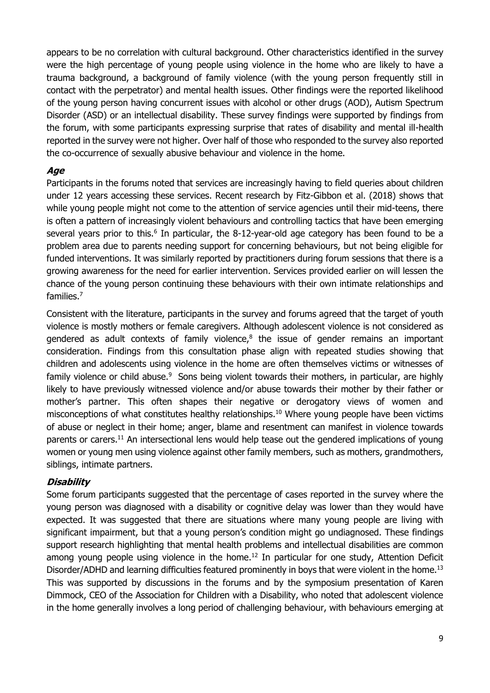appears to be no correlation with cultural background. Other characteristics identified in the survey were the high percentage of young people using violence in the home who are likely to have a trauma background, a background of family violence (with the young person frequently still in contact with the perpetrator) and mental health issues. Other findings were the reported likelihood of the young person having concurrent issues with alcohol or other drugs (AOD), Autism Spectrum Disorder (ASD) or an intellectual disability. These survey findings were supported by findings from the forum, with some participants expressing surprise that rates of disability and mental ill-health reported in the survey were not higher. Over half of those who responded to the survey also reported the co-occurrence of sexually abusive behaviour and violence in the home.

#### **Age**

Participants in the forums noted that services are increasingly having to field queries about children under 12 years accessing these services. Recent research by Fitz-Gibbon et al. (2018) shows that while young people might not come to the attention of service agencies until their mid-teens, there is often a pattern of increasingly violent behaviours and controlling tactics that have been emerging several years prior to this.<sup>6</sup> In particular, the 8-12-year-old age category has been found to be a problem area due to parents needing support for concerning behaviours, but not being eligible for funded interventions. It was similarly reported by practitioners during forum sessions that there is a growing awareness for the need for earlier intervention. Services provided earlier on will lessen the chance of the young person continuing these behaviours with their own intimate relationships and families. 7

Consistent with the literature, participants in the survey and forums agreed that the target of youth violence is mostly mothers or female caregivers. Although adolescent violence is not considered as gendered as adult contexts of family violence, $8$  the issue of gender remains an important consideration. Findings from this consultation phase align with repeated studies showing that children and adolescents using violence in the home are often themselves victims or witnesses of family violence or child abuse.<sup>9</sup> Sons being violent towards their mothers, in particular, are highly likely to have previously witnessed violence and/or abuse towards their mother by their father or mother's partner. This often shapes their negative or derogatory views of women and misconceptions of what constitutes healthy relationships.<sup>10</sup> Where young people have been victims of abuse or neglect in their home; anger, blame and resentment can manifest in violence towards parents or carers.<sup>11</sup> An intersectional lens would help tease out the gendered implications of young women or young men using violence against other family members, such as mothers, grandmothers, siblings, intimate partners.

#### **Disability**

Some forum participants suggested that the percentage of cases reported in the survey where the young person was diagnosed with a disability or cognitive delay was lower than they would have expected. It was suggested that there are situations where many young people are living with significant impairment, but that a young person's condition might go undiagnosed. These findings support research highlighting that mental health problems and intellectual disabilities are common among young people using violence in the home.<sup>12</sup> In particular for one study, Attention Deficit Disorder/ADHD and learning difficulties featured prominently in boys that were violent in the home.<sup>13</sup> This was supported by discussions in the forums and by the symposium presentation of Karen Dimmock, CEO of the Association for Children with a Disability, who noted that adolescent violence in the home generally involves a long period of challenging behaviour, with behaviours emerging at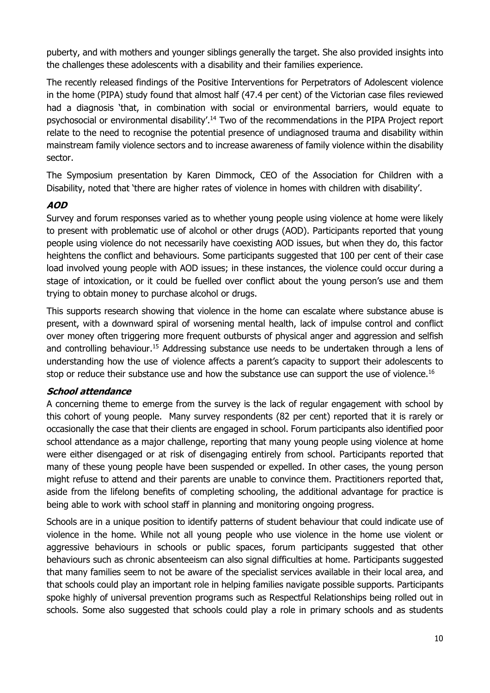puberty, and with mothers and younger siblings generally the target. She also provided insights into the challenges these adolescents with a disability and their families experience.

The recently released findings of the Positive Interventions for Perpetrators of Adolescent violence in the home (PIPA) study found that almost half (47.4 per cent) of the Victorian case files reviewed had a diagnosis 'that, in combination with social or environmental barriers, would equate to psychosocial or environmental disability'.<sup>14</sup> Two of the recommendations in the PIPA Project report relate to the need to recognise the potential presence of undiagnosed trauma and disability within mainstream family violence sectors and to increase awareness of family violence within the disability sector.

The Symposium presentation by Karen Dimmock, CEO of the Association for Children with a Disability, noted that 'there are higher rates of violence in homes with children with disability'.

#### **AOD**

Survey and forum responses varied as to whether young people using violence at home were likely to present with problematic use of alcohol or other drugs (AOD). Participants reported that young people using violence do not necessarily have coexisting AOD issues, but when they do, this factor heightens the conflict and behaviours. Some participants suggested that 100 per cent of their case load involved young people with AOD issues; in these instances, the violence could occur during a stage of intoxication, or it could be fuelled over conflict about the young person's use and them trying to obtain money to purchase alcohol or drugs.

This supports research showing that violence in the home can escalate where substance abuse is present, with a downward spiral of worsening mental health, lack of impulse control and conflict over money often triggering more frequent outbursts of physical anger and aggression and selfish and controlling behaviour.<sup>15</sup> Addressing substance use needs to be undertaken through a lens of understanding how the use of violence affects a parent's capacity to support their adolescents to stop or reduce their substance use and how the substance use can support the use of violence.<sup>16</sup>

#### **School attendance**

A concerning theme to emerge from the survey is the lack of regular engagement with school by this cohort of young people. Many survey respondents (82 per cent) reported that it is rarely or occasionally the case that their clients are engaged in school. Forum participants also identified poor school attendance as a major challenge, reporting that many young people using violence at home were either disengaged or at risk of disengaging entirely from school. Participants reported that many of these young people have been suspended or expelled. In other cases, the young person might refuse to attend and their parents are unable to convince them. Practitioners reported that, aside from the lifelong benefits of completing schooling, the additional advantage for practice is being able to work with school staff in planning and monitoring ongoing progress.

Schools are in a unique position to identify patterns of student behaviour that could indicate use of violence in the home. While not all young people who use violence in the home use violent or aggressive behaviours in schools or public spaces, forum participants suggested that other behaviours such as chronic absenteeism can also signal difficulties at home. Participants suggested that many families seem to not be aware of the specialist services available in their local area, and that schools could play an important role in helping families navigate possible supports. Participants spoke highly of universal prevention programs such as Respectful Relationships being rolled out in schools. Some also suggested that schools could play a role in primary schools and as students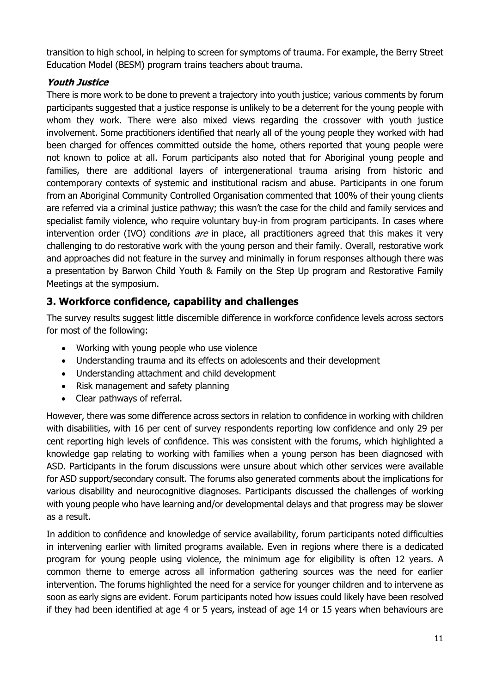transition to high school, in helping to screen for symptoms of trauma. For example, the Berry Street Education Model (BESM) program trains teachers about trauma.

# **Youth Justice**

There is more work to be done to prevent a trajectory into youth justice; various comments by forum participants suggested that a justice response is unlikely to be a deterrent for the young people with whom they work. There were also mixed views regarding the crossover with youth justice involvement. Some practitioners identified that nearly all of the young people they worked with had been charged for offences committed outside the home, others reported that young people were not known to police at all. Forum participants also noted that for Aboriginal young people and families, there are additional layers of intergenerational trauma arising from historic and contemporary contexts of systemic and institutional racism and abuse. Participants in one forum from an Aboriginal Community Controlled Organisation commented that 100% of their young clients are referred via a criminal justice pathway; this wasn't the case for the child and family services and specialist family violence, who require voluntary buy-in from program participants. In cases where intervention order (IVO) conditions are in place, all practitioners agreed that this makes it very challenging to do restorative work with the young person and their family. Overall, restorative work and approaches did not feature in the survey and minimally in forum responses although there was a presentation by Barwon Child Youth & Family on the Step Up program and Restorative Family Meetings at the symposium.

# **3. Workforce confidence, capability and challenges**

The survey results suggest little discernible difference in workforce confidence levels across sectors for most of the following:

- Working with young people who use violence
- Understanding trauma and its effects on adolescents and their development
- Understanding attachment and child development
- Risk management and safety planning
- Clear pathways of referral.

However, there was some difference across sectors in relation to confidence in working with children with disabilities, with 16 per cent of survey respondents reporting low confidence and only 29 per cent reporting high levels of confidence. This was consistent with the forums, which highlighted a knowledge gap relating to working with families when a young person has been diagnosed with ASD. Participants in the forum discussions were unsure about which other services were available for ASD support/secondary consult. The forums also generated comments about the implications for various disability and neurocognitive diagnoses. Participants discussed the challenges of working with young people who have learning and/or developmental delays and that progress may be slower as a result.

In addition to confidence and knowledge of service availability, forum participants noted difficulties in intervening earlier with limited programs available. Even in regions where there is a dedicated program for young people using violence, the minimum age for eligibility is often 12 years. A common theme to emerge across all information gathering sources was the need for earlier intervention. The forums highlighted the need for a service for younger children and to intervene as soon as early signs are evident. Forum participants noted how issues could likely have been resolved if they had been identified at age 4 or 5 years, instead of age 14 or 15 years when behaviours are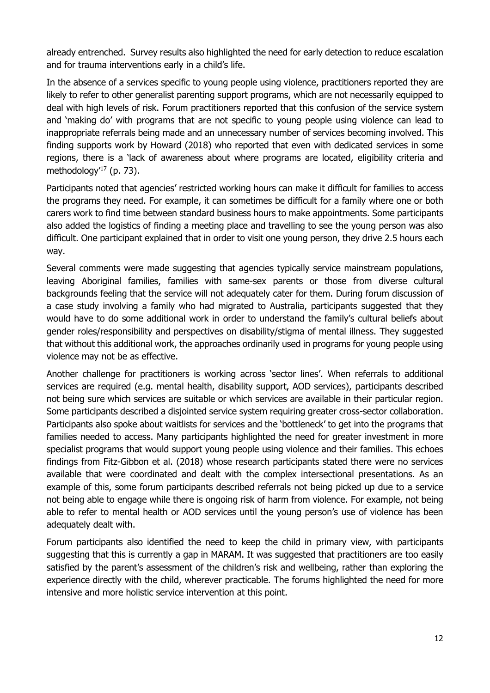already entrenched. Survey results also highlighted the need for early detection to reduce escalation and for trauma interventions early in a child's life.

In the absence of a services specific to young people using violence, practitioners reported they are likely to refer to other generalist parenting support programs, which are not necessarily equipped to deal with high levels of risk. Forum practitioners reported that this confusion of the service system and 'making do' with programs that are not specific to young people using violence can lead to inappropriate referrals being made and an unnecessary number of services becoming involved. This finding supports work by Howard (2018) who reported that even with dedicated services in some regions, there is a 'lack of awareness about where programs are located, eligibility criteria and methodology' <sup>17</sup> (p. 73).

Participants noted that agencies' restricted working hours can make it difficult for families to access the programs they need. For example, it can sometimes be difficult for a family where one or both carers work to find time between standard business hours to make appointments. Some participants also added the logistics of finding a meeting place and travelling to see the young person was also difficult. One participant explained that in order to visit one young person, they drive 2.5 hours each way.

Several comments were made suggesting that agencies typically service mainstream populations, leaving Aboriginal families, families with same-sex parents or those from diverse cultural backgrounds feeling that the service will not adequately cater for them. During forum discussion of a case study involving a family who had migrated to Australia, participants suggested that they would have to do some additional work in order to understand the family's cultural beliefs about gender roles/responsibility and perspectives on disability/stigma of mental illness. They suggested that without this additional work, the approaches ordinarily used in programs for young people using violence may not be as effective.

Another challenge for practitioners is working across 'sector lines'. When referrals to additional services are required (e.g. mental health, disability support, AOD services), participants described not being sure which services are suitable or which services are available in their particular region. Some participants described a disjointed service system requiring greater cross-sector collaboration. Participants also spoke about waitlists for services and the 'bottleneck' to get into the programs that families needed to access. Many participants highlighted the need for greater investment in more specialist programs that would support young people using violence and their families. This echoes findings from Fitz-Gibbon et al. (2018) whose research participants stated there were no services available that were coordinated and dealt with the complex intersectional presentations. As an example of this, some forum participants described referrals not being picked up due to a service not being able to engage while there is ongoing risk of harm from violence. For example, not being able to refer to mental health or AOD services until the young person's use of violence has been adequately dealt with.

Forum participants also identified the need to keep the child in primary view, with participants suggesting that this is currently a gap in MARAM. It was suggested that practitioners are too easily satisfied by the parent's assessment of the children's risk and wellbeing, rather than exploring the experience directly with the child, wherever practicable. The forums highlighted the need for more intensive and more holistic service intervention at this point.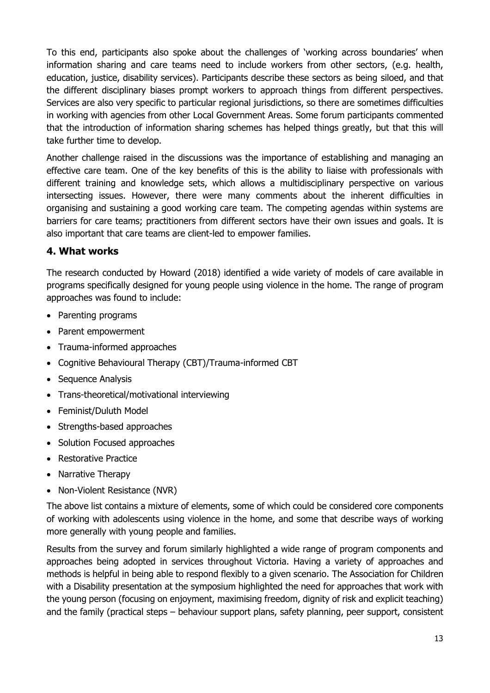To this end, participants also spoke about the challenges of 'working across boundaries' when information sharing and care teams need to include workers from other sectors, (e.g. health, education, justice, disability services). Participants describe these sectors as being siloed, and that the different disciplinary biases prompt workers to approach things from different perspectives. Services are also very specific to particular regional jurisdictions, so there are sometimes difficulties in working with agencies from other Local Government Areas. Some forum participants commented that the introduction of information sharing schemes has helped things greatly, but that this will take further time to develop.

Another challenge raised in the discussions was the importance of establishing and managing an effective care team. One of the key benefits of this is the ability to liaise with professionals with different training and knowledge sets, which allows a multidisciplinary perspective on various intersecting issues. However, there were many comments about the inherent difficulties in organising and sustaining a good working care team. The competing agendas within systems are barriers for care teams; practitioners from different sectors have their own issues and goals. It is also important that care teams are client-led to empower families.

# **4. What works**

The research conducted by Howard (2018) identified a wide variety of models of care available in programs specifically designed for young people using violence in the home. The range of program approaches was found to include:

- Parenting programs
- Parent empowerment
- Trauma-informed approaches
- Cognitive Behavioural Therapy (CBT)/Trauma-informed CBT
- Sequence Analysis
- Trans-theoretical/motivational interviewing
- Feminist/Duluth Model
- Strengths-based approaches
- Solution Focused approaches
- Restorative Practice
- Narrative Therapy
- Non-Violent Resistance (NVR)

The above list contains a mixture of elements, some of which could be considered core components of working with adolescents using violence in the home, and some that describe ways of working more generally with young people and families.

Results from the survey and forum similarly highlighted a wide range of program components and approaches being adopted in services throughout Victoria. Having a variety of approaches and methods is helpful in being able to respond flexibly to a given scenario. The Association for Children with a Disability presentation at the symposium highlighted the need for approaches that work with the young person (focusing on enjoyment, maximising freedom, dignity of risk and explicit teaching) and the family (practical steps – behaviour support plans, safety planning, peer support, consistent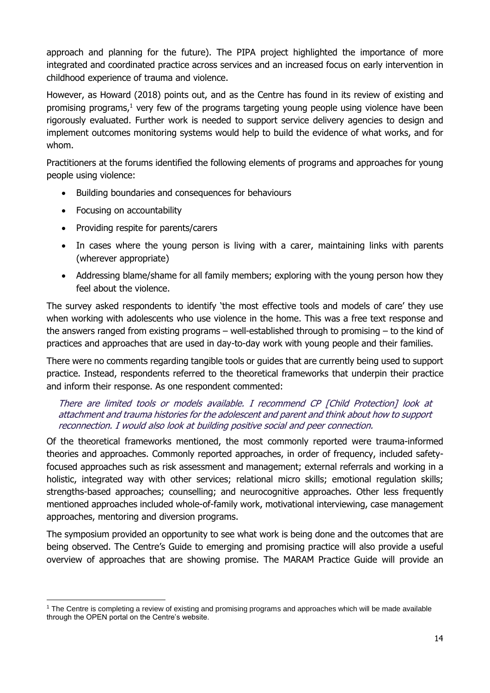approach and planning for the future). The PIPA project highlighted the importance of more integrated and coordinated practice across services and an increased focus on early intervention in childhood experience of trauma and violence.

However, as Howard (2018) points out, and as the Centre has found in its review of existing and promising programs, $<sup>1</sup>$  very few of the programs targeting young people using violence have been</sup> rigorously evaluated. Further work is needed to support service delivery agencies to design and implement outcomes monitoring systems would help to build the evidence of what works, and for whom.

Practitioners at the forums identified the following elements of programs and approaches for young people using violence:

- Building boundaries and consequences for behaviours
- Focusing on accountability
- Providing respite for parents/carers
- In cases where the young person is living with a carer, maintaining links with parents (wherever appropriate)
- Addressing blame/shame for all family members; exploring with the young person how they feel about the violence.

The survey asked respondents to identify 'the most effective tools and models of care' they use when working with adolescents who use violence in the home. This was a free text response and the answers ranged from existing programs – well-established through to promising – to the kind of practices and approaches that are used in day-to-day work with young people and their families.

There were no comments regarding tangible tools or guides that are currently being used to support practice. Instead, respondents referred to the theoretical frameworks that underpin their practice and inform their response. As one respondent commented:

#### There are limited tools or models available. I recommend CP [Child Protection] look at attachment and trauma histories for the adolescent and parent and think about how to support reconnection. I would also look at building positive social and peer connection.

Of the theoretical frameworks mentioned, the most commonly reported were trauma-informed theories and approaches. Commonly reported approaches, in order of frequency, included safetyfocused approaches such as risk assessment and management; external referrals and working in a holistic, integrated way with other services; relational micro skills; emotional regulation skills; strengths-based approaches; counselling; and neurocognitive approaches. Other less frequently mentioned approaches included whole-of-family work, motivational interviewing, case management approaches, mentoring and diversion programs.

The symposium provided an opportunity to see what work is being done and the outcomes that are being observed. The Centre's Guide to emerging and promising practice will also provide a useful overview of approaches that are showing promise. The MARAM Practice Guide will provide an

<sup>1</sup> The Centre is completing a review of existing and promising programs and approaches which will be made available through the OPEN portal on the Centre's website.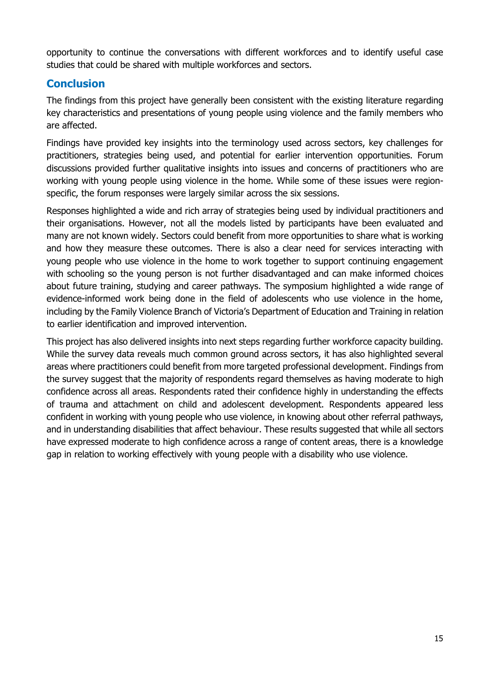opportunity to continue the conversations with different workforces and to identify useful case studies that could be shared with multiple workforces and sectors.

# **Conclusion**

The findings from this project have generally been consistent with the existing literature regarding key characteristics and presentations of young people using violence and the family members who are affected.

Findings have provided key insights into the terminology used across sectors, key challenges for practitioners, strategies being used, and potential for earlier intervention opportunities. Forum discussions provided further qualitative insights into issues and concerns of practitioners who are working with young people using violence in the home. While some of these issues were regionspecific, the forum responses were largely similar across the six sessions.

Responses highlighted a wide and rich array of strategies being used by individual practitioners and their organisations. However, not all the models listed by participants have been evaluated and many are not known widely. Sectors could benefit from more opportunities to share what is working and how they measure these outcomes. There is also a clear need for services interacting with young people who use violence in the home to work together to support continuing engagement with schooling so the young person is not further disadvantaged and can make informed choices about future training, studying and career pathways. The symposium highlighted a wide range of evidence-informed work being done in the field of adolescents who use violence in the home, including by the Family Violence Branch of Victoria's Department of Education and Training in relation to earlier identification and improved intervention.

This project has also delivered insights into next steps regarding further workforce capacity building. While the survey data reveals much common ground across sectors, it has also highlighted several areas where practitioners could benefit from more targeted professional development. Findings from the survey suggest that the majority of respondents regard themselves as having moderate to high confidence across all areas. Respondents rated their confidence highly in understanding the effects of trauma and attachment on child and adolescent development. Respondents appeared less confident in working with young people who use violence, in knowing about other referral pathways, and in understanding disabilities that affect behaviour. These results suggested that while all sectors have expressed moderate to high confidence across a range of content areas, there is a knowledge gap in relation to working effectively with young people with a disability who use violence.